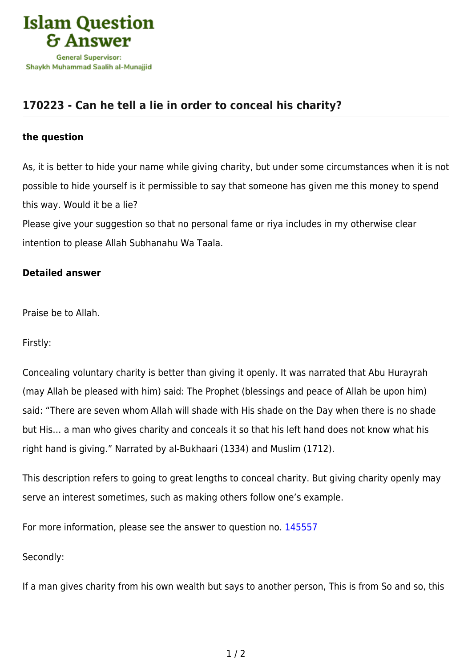

## **[170223 - Can he tell a lie in order to conceal his charity?](https://islamqa.com/en/answers/170223/can-he-tell-a-lie-in-order-to-conceal-his-charity)**

## **the question**

As, it is better to hide your name while giving charity, but under some circumstances when it is not possible to hide yourself is it permissible to say that someone has given me this money to spend this way. Would it be a lie?

Please give your suggestion so that no personal fame or riya includes in my otherwise clear intention to please Allah Subhanahu Wa Taala.

## **Detailed answer**

Praise be to Allah.

Firstly:

Concealing voluntary charity is better than giving it openly. It was narrated that Abu Hurayrah (may Allah be pleased with him) said: The Prophet (blessings and peace of Allah be upon him) said: "There are seven whom Allah will shade with His shade on the Day when there is no shade but His… a man who gives charity and conceals it so that his left hand does not know what his right hand is giving." Narrated by al-Bukhaari (1334) and Muslim (1712).

This description refers to going to great lengths to conceal charity. But giving charity openly may serve an interest sometimes, such as making others follow one's example.

For more information, please see the answer to question no. [145557](https://islamqa.com/en/answers/145557)

Secondly:

If a man gives charity from his own wealth but says to another person, This is from So and so, this